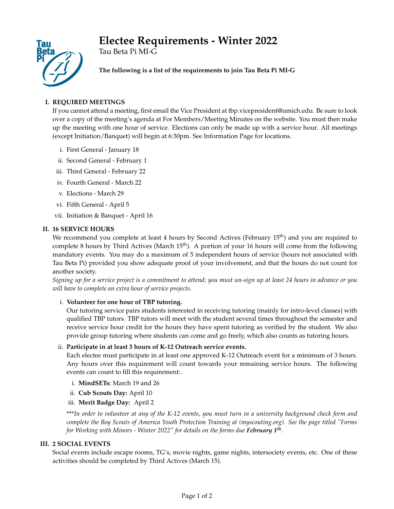# **Electee Requirements - Winter 2022**



Tau Beta Pi MI-G

**The following is a list of the requirements to join Tau Beta Pi MI-G**

# **I. REQUIRED MEETINGS**

If you cannot attend a meeting, first email the Vice President at tbp.vicepresident@umich.edu. Be sure to look over a copy of the meeting's agenda at For Members/Meeting Minutes on the website. You must then make up the meeting with one hour of service. Elections can only be made up with a service hour. All meetings (except Initiation/Banquet) will begin at 6:30pm. See Information Page for locations.

- i. First General January 18
- ii. Second General February 1
- iii. Third General February 22
- iv. Fourth General March 22
- v. Elections March 29
- vi. Fifth General April 5
- vii. Initiation & Banquet April 16

# **II. 16 SERVICE HOURS**

We recommend you complete at least 4 hours by Second Actives (February 15<sup>th</sup>) and you are required to complete 8 hours by Third Actives (March  $15<sup>th</sup>$ ). A portion of your 16 hours will come from the following mandatory events. You may do a maximum of 5 independent hours of service (hours not associated with Tau Beta Pi) provided you show adequate proof of your involvement, and that the hours do not count for another society.

*Signing up for a service project is a commitment to attend; you must un-sign up at least 24 hours in advance or you will have to complete an extra hour of service projects.*

# i. **Volunteer for one hour of TBP tutoring.**

Our tutoring service pairs students interested in receiving tutoring (mainly for intro-level classes) with qualified TBP tutors. TBP tutors will meet with the student several times throughout the semester and receive service hour credit for the hours they have spent tutoring as verified by the student. We also provide group tutoring where students can come and go freely, which also counts as tutoring hours.

# ii. **Participate in at least 3 hours of K-12 Outreach service events.**

Each electee must participate in at least one approved K-12 Outreach event for a minimum of 3 hours. Any hours over this requirement will count towards your remaining service hours. The following events can count to fill this requirement:.

- i. **MindSETs:** March 19 and 26
- ii. **Cub Scouts Day:** April 10
- iii. **Merit Badge Day:** April 2

\*\*\**In order to volunteer at any of the K-12 events, you must turn in a university background check form and complete the Boy Scouts of America Youth Protection Training at (myscouting.org). See the page titled "Forms for Working with Minors - Winter 2022" for details on the forms due February 1th* .

# **III. 2 SOCIAL EVENTS**

Social events include escape rooms, TG's, movie nights, game nights, intersociety events, etc. One of these activities should be completed by Third Actives (March 15).